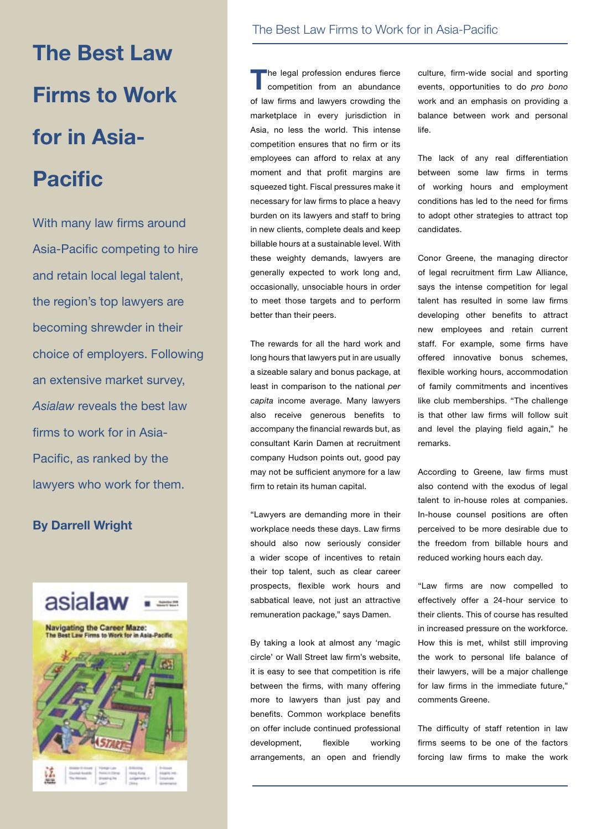**The Best Law Firms to Work for in Asia-Pacific** 

With many law firms around Asia-Pacific competing to hire and retain local legal talent, the region's top lawyers are becoming shrewder in their choice of employers. Following an extensive market survey, *Asialaw* reveals the best law firms to work for in Asia-Pacific, as ranked by the lawyers who work for them.

#### **By Darrell Wright**



#### The Best Law Firms to Work for in Asia-Pacific

**T**he legal profession endures fierce competition from an abundance of law firms and lawyers crowding the marketplace in every jurisdiction in Asia, no less the world. This intense competition ensures that no firm or its employees can afford to relax at any moment and that profit margins are squeezed tight. Fiscal pressures make it necessary for law firms to place a heavy burden on its lawyers and staff to bring in new clients, complete deals and keep billable hours at a sustainable level. With these weighty demands, lawyers are generally expected to work long and, occasionally, unsociable hours in order to meet those targets and to perform better than their peers.

The rewards for all the hard work and long hours that lawyers put in are usually a sizeable salary and bonus package, at least in comparison to the national *per capita* income average. Many lawyers also receive generous benefits to accompany the financial rewards but, as consultant Karin Damen at recruitment company Hudson points out, good pay may not be sufficient anymore for a law firm to retain its human capital.

"Lawyers are demanding more in their workplace needs these days. Law firms should also now seriously consider a wider scope of incentives to retain their top talent, such as clear career prospects, flexible work hours and sabbatical leave, not just an attractive remuneration package," says Damen.

By taking a look at almost any 'magic circle' or Wall Street law firm's website, it is easy to see that competition is rife between the firms, with many offering more to lawyers than just pay and benefits. Common workplace benefits on offer include continued professional development, flexible working arrangements, an open and friendly culture, firm-wide social and sporting events, opportunities to do *pro bono* work and an emphasis on providing a balance between work and personal life.

The lack of any real differentiation between some law firms in terms of working hours and employment conditions has led to the need for firms to adopt other strategies to attract top candidates.

Conor Greene, the managing director of legal recruitment firm Law Alliance, says the intense competition for legal talent has resulted in some law firms developing other benefits to attract new employees and retain current staff. For example, some firms have offered innovative bonus schemes, flexible working hours, accommodation of family commitments and incentives like club memberships. "The challenge is that other law firms will follow suit and level the playing field again," he remarks.

According to Greene, law firms must also contend with the exodus of legal talent to in-house roles at companies. In-house counsel positions are often perceived to be more desirable due to the freedom from billable hours and reduced working hours each day.

"Law firms are now compelled to effectively offer a 24-hour service to their clients. This of course has resulted in increased pressure on the workforce. How this is met, whilst still improving the work to personal life balance of their lawyers, will be a major challenge for law firms in the immediate future," comments Greene.

The difficulty of staff retention in law firms seems to be one of the factors forcing law firms to make the work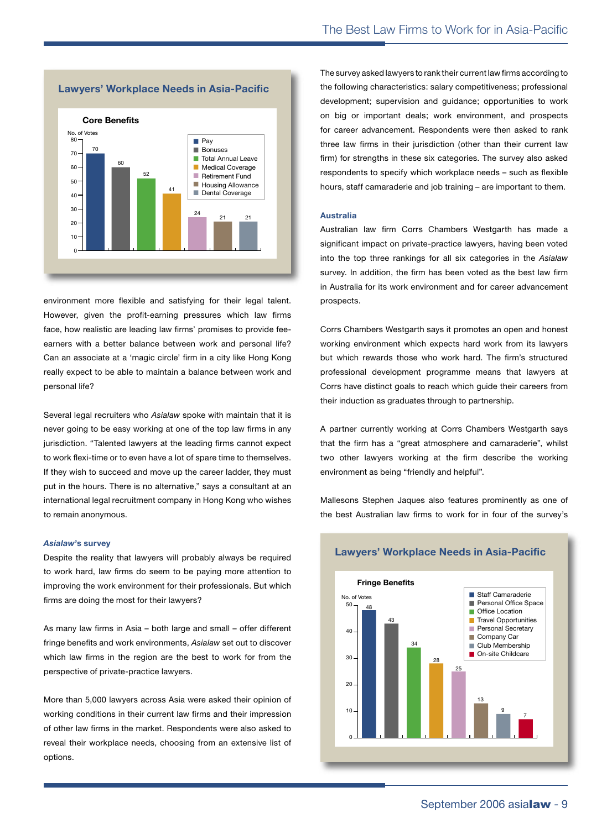

environment more flexible and satisfying for their legal talent. However, given the profit-earning pressures which law firms face, how realistic are leading law firms' promises to provide feeearners with a better balance between work and personal life? Can an associate at a 'magic circle' firm in a city like Hong Kong 16 really expect to be able to maintain a balance between work and personal life?

Several legal recruiters who Asialaw spoke with maintain that it is never going to be easy working at one of the top law firms in any jurisdiction. "Talented lawyers at the leading firms cannot expect to work flexi-time or to even have a lot of spare time to themselves. If they wish to succeed and move up the career ladder, they must put in the hours. There is no alternative," says a consultant at an **Fringe Benefits** international legal recruitment company in Hong Kong who wishes to remain anonymous. legal recruitment company in Hong Kong who v Staff Camaraderie 0 10 20 30 40 50 <u>ti</u>

#### *Asialaw***'s survey**

Despite the reality that lawyers will probably always be required to work hard, law firms do seem to be paying more attention to improving the work environment for their professionals. But which firms are doing the most for their lawyers? 13

As many law firms in Asia – both large and small – offer different fringe benefits and work environments, *Asialaw* set out to discover which law firms in the region are the best to work for from the perspective of private-practice lawyers.

More than 5,000 lawyers across Asia were asked their opinion of working conditions in their current law firms and their impression of other law firms in the market. Respondents were also asked to reveal their workplace needs, choosing from an extensive list of options.

The survey asked lawyers to rank their current law firms according to the following characteristics: salary competitiveness; professional development; supervision and guidance; opportunities to work on big or important deals; work environment, and prospects for career advancement. Respondents were then asked to rank three law firms in their jurisdiction (other than their current law firm) for strengths in these six categories. The survey also asked respondents to specify which workplace needs – such as flexible hours, staff camaraderie and job training – are important to them.

#### **Australia**

Australian law firm Corrs Chambers Westgarth has made a **Core Benefits** significant impact on private-practice lawyers, having been voted into the top three rankings for all six categories in the *Asialaw* 70 70 survey. In addition, the firm has been voted as the best law firm in Australia for its work environment and for career advancement prospects. tad as the hes negories in the

Corrs Chambers Westgarth says it promotes an open and honest working environment which expects hard work from its lawyers but which rewards those who work hard. The firm's structured professional development programme means that lawyers at Corrs have distinct goals to reach which guide their careers from their induction as graduates through to partnership.

A partner currently working at Corrs Chambers Westgarth says that the firm has a "great atmosphere and camaraderie", whilst two other lawyers working at the firm describe the working environment as being "friendly and helpful".  $\mathcal{L}$  Opportunities

Mallesons Stephen Jaques also features prominently as one of the best Australian law firms to work for in four of the survey's



#### **Lawyers' Workplace Needs in Asia-Pacific**

<sup>59</sup> <sup>62</sup> Job Transfer Options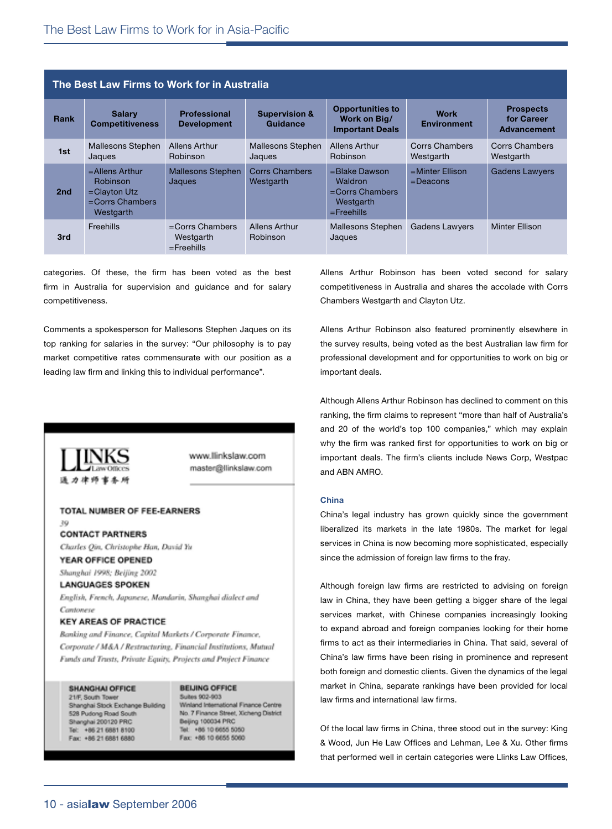| The Best Law Firms to Work for in Australia |                                                                                            |                                                  |                                      |                                                                              |                                   |                                                      |  |  |
|---------------------------------------------|--------------------------------------------------------------------------------------------|--------------------------------------------------|--------------------------------------|------------------------------------------------------------------------------|-----------------------------------|------------------------------------------------------|--|--|
| Rank                                        | <b>Salary</b><br><b>Competitiveness</b>                                                    | <b>Professional</b><br><b>Development</b>        | <b>Supervision &amp;</b><br>Guidance | <b>Opportunities to</b><br>Work on Big/<br><b>Important Deals</b>            | <b>Work</b><br><b>Environment</b> | <b>Prospects</b><br>for Career<br><b>Advancement</b> |  |  |
| 1st                                         | Mallesons Stephen<br>Jaques                                                                | Allens Arthur<br>Robinson                        | Mallesons Stephen<br>Jaques          | Allens Arthur<br>Robinson                                                    | Corrs Chambers<br>Westgarth       | <b>Corrs Chambers</b><br>Westgarth                   |  |  |
| 2 <sub>nd</sub>                             | $=$ Allens Arthur<br><b>Robinson</b><br>$=$ Clayton Utz<br>$=$ Corrs Chambers<br>Westgarth | <b>Mallesons Stephen</b><br>Jaques               | <b>Corrs Chambers</b><br>Westgarth   | =Blake Dawson<br>Waldron<br>$=$ Corrs Chambers<br>Westgarth<br>$=$ Freehills | $=$ Minter Ellison<br>$=$ Deacons | <b>Gadens Lawyers</b>                                |  |  |
| 3rd                                         | Freehills                                                                                  | $=$ Corrs Chambers<br>Westgarth<br>$=$ Freehills | Allens Arthur<br>Robinson            | <b>Mallesons Stephen</b><br>Jaques                                           | <b>Gadens Lawyers</b>             | Minter Ellison                                       |  |  |

categories. Of these, the firm has been voted as the best firm in Australia for supervision and guidance and for salary competitiveness.

Comments a spokesperson for Mallesons Stephen Jaques on its top ranking for salaries in the survey: "Our philosophy is to pay market competitive rates commensurate with our position as a leading law firm and linking this to individual performance".

Allens Arthur Robinson has been voted second for salary competitiveness in Australia and shares the accolade with Corrs Chambers Westgarth and Clayton Utz.

Allens Arthur Robinson also featured prominently elsewhere in the survey results, being voted as the best Australian law firm for professional development and for opportunities to work on big or important deals.

Although Allens Arthur Robinson has declined to comment on this ranking, the firm claims to represent "more than half of Australia's and 20 of the world's top 100 companies," which may explain why the firm was ranked first for opportunities to work on big or important deals. The firm's clients include News Corp, Westpac and ABN AMRO.

#### **China**

China's legal industry has grown quickly since the government liberalized its markets in the late 1980s. The market for legal services in China is now becoming more sophisticated, especially since the admission of foreign law firms to the fray.

Although foreign law firms are restricted to advising on foreign law in China, they have been getting a bigger share of the legal services market, with Chinese companies increasingly looking to expand abroad and foreign companies looking for their home firms to act as their intermediaries in China. That said, several of China's law firms have been rising in prominence and represent both foreign and domestic clients. Given the dynamics of the legal market in China, separate rankings have been provided for local law firms and international law firms.

Of the local law firms in China, three stood out in the survey: King & Wood, Jun He Law Offices and Lehman, Lee & Xu. Other firms that performed well in certain categories were Llinks Law Offices,

INKS 通力律师事务所

www.llinkslaw.com master@llinkslaw.com

#### TOTAL NUMBER OF FEE-EARNERS 39

**CONTACT PARTNERS** Charles Qin, Christophe Han, David Yu

#### YEAR OFFICE OPENED

Shanghai 1998; Beijing 2002

#### **LANGUAGES SPOKEN**

English, French, Japanese, Mandarin, Shanghai dialect and Cantonese

#### **KEY AREAS OF PRACTICE**

Banking and Finance, Capital Markets / Corporate Finance, Corporate / M&A / Restructuring, Financial Institutions, Mutual Funds and Trusts, Private Equity, Projects and Project Finance

SHANGHAI OFFICE 21/F. South Toy Shanghai Stock Exchange Building 528 Pudong Road South Shanghai 200120 PRC Tel: +86 21 6881 8100 Fax: +86 21 6881 6880

#### **BEIJING OFFICE**

Suites 902-903 Winland International Finance Centre No. 7 Finance Street, Xicheng District Beijing 100034 PRC Tel: +86 10 6655 5050 Fax: +86 10 6655 5060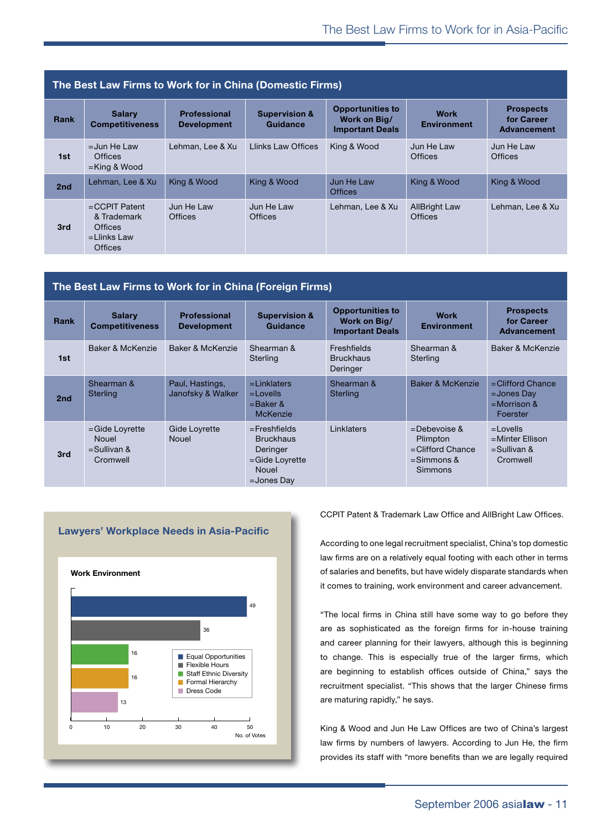| The Best Law Firms to Work for in China (Domestic Firms) |                                                                                       |                                           |                                      |                                                                   |                                        |                                                      |  |
|----------------------------------------------------------|---------------------------------------------------------------------------------------|-------------------------------------------|--------------------------------------|-------------------------------------------------------------------|----------------------------------------|------------------------------------------------------|--|
| Rank                                                     | <b>Salary</b><br><b>Competitiveness</b>                                               | <b>Professional</b><br><b>Development</b> | <b>Supervision &amp;</b><br>Guidance | <b>Opportunities to</b><br>Work on Big/<br><b>Important Deals</b> | <b>Work</b><br><b>Environment</b>      | <b>Prospects</b><br>for Career<br><b>Advancement</b> |  |
| 1st                                                      | $=$ Jun He Law<br><b>Offices</b><br>$=$ King & Wood                                   | Lehman, Lee & Xu                          | <b>Llinks Law Offices</b>            | King & Wood                                                       | Jun He Law<br><b>Offices</b>           | Jun He Law<br><b>Offices</b>                         |  |
| 2nd                                                      | Lehman, Lee & Xu                                                                      | King & Wood                               | King & Wood                          | Jun He Law<br><b>Offices</b>                                      | King & Wood                            | King & Wood                                          |  |
| 3rd                                                      | $=$ CCPIT Patent<br>& Trademark<br><b>Offices</b><br>$=$ Llinks Law<br><b>Offices</b> | Jun He Law<br><b>Offices</b>              | Jun He Law<br><b>Offices</b>         | Lehman, Lee & Xu                                                  | <b>AllBright Law</b><br><b>Offices</b> | Lehman, Lee & Xu                                     |  |

| The Best Law Firms to Work for in China (Foreign Firms) |                                                                 |                                           |                                                                                                    |                                                                   |                                                                                    |                                                                    |  |
|---------------------------------------------------------|-----------------------------------------------------------------|-------------------------------------------|----------------------------------------------------------------------------------------------------|-------------------------------------------------------------------|------------------------------------------------------------------------------------|--------------------------------------------------------------------|--|
| Rank                                                    | <b>Salary</b><br><b>Competitiveness</b>                         | <b>Professional</b><br><b>Development</b> | <b>Supervision &amp;</b><br>Guidance                                                               | <b>Opportunities to</b><br>Work on Big/<br><b>Important Deals</b> | <b>Work</b><br><b>Environment</b>                                                  | <b>Prospects</b><br>for Career<br><b>Advancement</b>               |  |
| 1st                                                     | Baker & McKenzie                                                | Baker & McKenzie                          | Shearman &<br>Sterling                                                                             | Freshfields<br><b>Bruckhaus</b><br>Deringer                       | Shearman &<br>Sterling                                                             | Baker & McKenzie                                                   |  |
| 2nd                                                     | Shearman &<br><b>Sterling</b>                                   | Paul, Hastings,<br>Janofsky & Walker      | $=$ Linklaters<br>$=$ Lovells<br>$=$ Baker &<br><b>McKenzie</b>                                    | Shearman &<br><b>Sterling</b>                                     | Baker & McKenzie                                                                   | $=$ Clifford Chance<br>$=$ Jones Day<br>$=$ Morrison &<br>Foerster |  |
| 3rd                                                     | $=$ Gide Loyrette<br><b>Nouel</b><br>$=$ Sullivan &<br>Cromwell | Gide Loyrette<br><b>Nouel</b>             | $=$ Freshfields<br><b>Bruckhaus</b><br>Deringer<br>=Gide Loyrette<br><b>Nouel</b><br>$=$ Jones Day | Linklaters                                                        | $=$ Debevoise &<br>Plimpton<br>=Clifford Chance<br>$=$ Simmons &<br><b>Simmons</b> | $=$ Lovells<br>$=$ Minter Ellison<br>$=$ Sullivan &<br>Cromwell    |  |



Staff Camaraderie

No. of Votes

CCPIT Patent & Trademark Law Office and AllBright Law Offices.

According to one legal recruitment specialist, China's top domestic law firms are on a relatively equal footing with each other in terms of salaries and benefits, but have widely disparate standards when it comes to training, work environment and career advancement. **Law Firm Characteristics**

"The local firms in China still have some way to go before they are as sophisticated as the foreign firms for in-house training and career planning for their lawyers, although this is beginning 18 to change. This is especially true of the larger firms, which are beginning to establish offices outside of China," says the recruitment specialist. "This shows that the larger Chinese firms are maturing rapidly," he says.

King & Wood and Jun He Law Offices are two of China's largest law firms by numbers of lawyers. According to Jun He, the firm provides its staff with "more benefits than we are legally required

**Professional Development**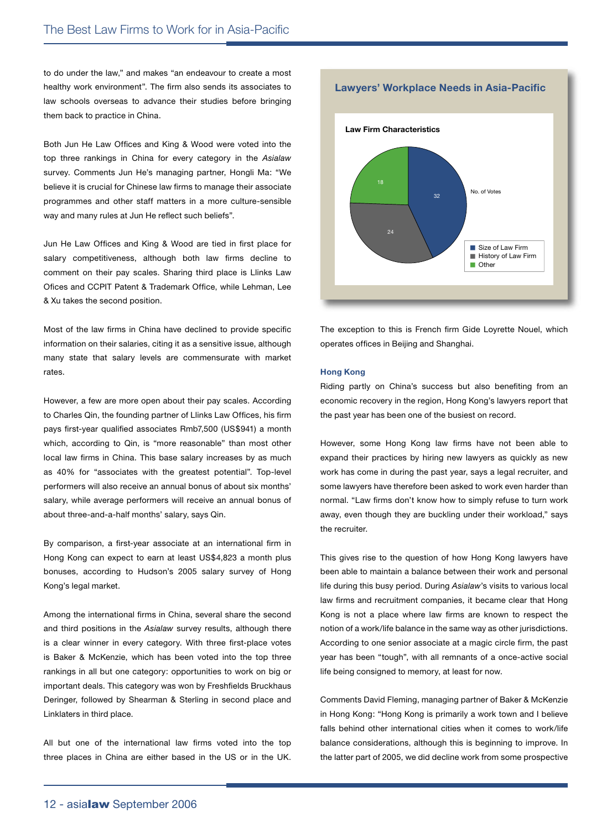21 21 22 22 23 24 25

to do under the law," and makes "an endeavour to create a most healthy work environment". The firm also sends its associates to law schools overseas to advance their studies before bringing them back to practice in China.

Both Jun He Law Offices and King & Wood were voted into the top three rankings in China for every category in the *Asialaw* survey. Comments Jun He's managing partner, Hongli Ma: "We 36 believe it is crucial for Chinese law firms to manage their associate programmes and other staff matters in a more culture-sensible way and many rules at Jun He reflect such beliefs". Staff Ethnic Diversity

Jun He Law Offices and King & Wood are tied in first place for salary competitiveness, although both law firms decline to comment on their pay scales. Sharing third place is Llinks Law Ofices and CCPIT Patent & Trademark Office, while Lehman, Lee & Xu takes the second position.<br>'

Most of the law firms in China have declined to provide specific information on their salaries, citing it as a sensitive issue, although many state that salary levels are commensurate with market rates. at calary lovels are commensurate with marke Office Location

However, a few are more open about their pay scales. According to Charles Qin, the founding partner of Llinks Law Offices, his firm pays first-year qualified associates Rmb7,500 (US\$941) a month 9 which, according to Qin, is "more reasonable" than most other local law firms in China. This base salary increases by as much 0 as 40% for "associates with the greatest potential". Top-level performers will also receive an annual bonus of about six months' salary, while average performers will receive an annual bonus of about three-and-a-half months' salary, says Qin.  $\sim$ 

By comparison, a first-year associate at an international firm in Hong Kong can expect to earn at least US\$4,823 a month plus bonuses, according to Hudson's 2005 salary survey of Hong Kong's legal market.

Among the international firms in China, several share the second and third positions in the *Asialaw* survey results, although there is a clear winner in every category. With three first-place votes is Baker & McKenzie, which has been voted into the top three rankings in all but one category: opportunities to work on big or important deals. This category was won by Freshfields Bruckhaus Deringer, followed by Shearman & Sterling in second place and Linklaters in third place.

All but one of the international law firms voted into the top three places in China are either based in the US or in the UK.



**Lawyers' Workplace Needs in Asia-Pacific**

The exception to this is French firm Gide Loyrette Nouel, which operates offices in Beijing and Shanghai. Path to Partnership hanahai

#### **Hong Kong** 50

Riding partly on China's success but also benefiting from an economic recovery in the region, Hong Kong's lawyers report that the past year has been one of the busiest on record. 16 20

However, some Hong Kong law firms have not been able to 0 expand their practices by hiring new lawyers as quickly as new work has come in during the past year, says a legal recruiter, and some lawyers have therefore been asked to work even harder than normal. "Law firms don't know how to simply refuse to turn work away, even though they are buckling under their workload," says the recruiter.

This gives rise to the question of how Hong Kong lawyers have been able to maintain a balance between their work and personal life during this busy period. During *Asialaw*'s visits to various local law firms and recruitment companies, it became clear that Hong Kong is not a place where law firms are known to respect the notion of a work/life balance in the same way as other jurisdictions. According to one senior associate at a magic circle firm, the past year has been "tough", with all remnants of a once-active social life being consigned to memory, at least for now.

Comments David Fleming, managing partner of Baker & McKenzie in Hong Kong: "Hong Kong is primarily a work town and I believe falls behind other international cities when it comes to work/life balance considerations, although this is beginning to improve. In the latter part of 2005, we did decline work from some prospective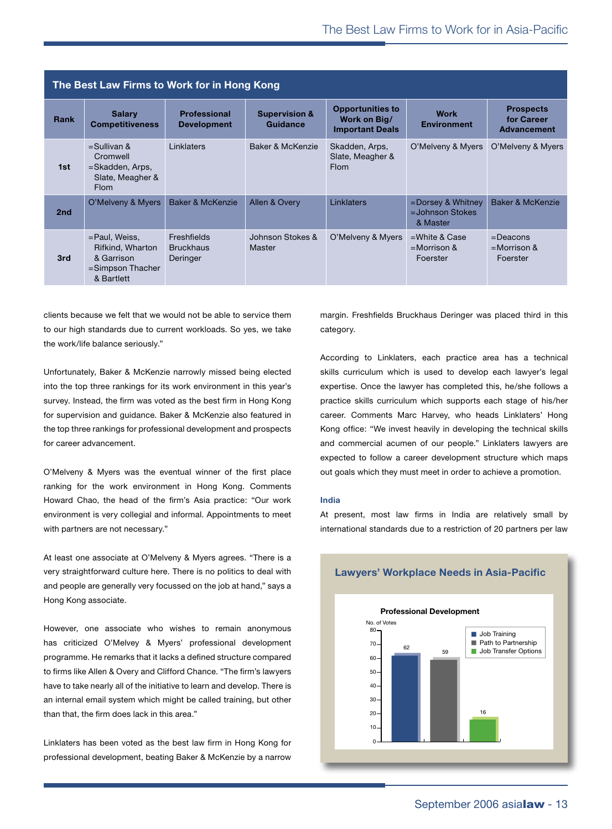| The Best Law Firms to Work for in Hong Kong |                                                                                      |                                             |                                      |                                                                   |                                                        |                                                      |  |
|---------------------------------------------|--------------------------------------------------------------------------------------|---------------------------------------------|--------------------------------------|-------------------------------------------------------------------|--------------------------------------------------------|------------------------------------------------------|--|
| Rank                                        | <b>Salary</b><br><b>Competitiveness</b>                                              | <b>Professional</b><br><b>Development</b>   | <b>Supervision &amp;</b><br>Guidance | <b>Opportunities to</b><br>Work on Big/<br><b>Important Deals</b> | <b>Work</b><br><b>Environment</b>                      | <b>Prospects</b><br>for Career<br><b>Advancement</b> |  |
| 1st                                         | $=$ Sullivan &<br>Cromwell<br>=Skadden, Arps,<br>Slate, Meagher &<br><b>Flom</b>     | Linklaters                                  | Baker & McKenzie                     | Skadden, Arps,<br>Slate, Meagher &<br><b>Flom</b>                 | O'Melveny & Myers                                      | O'Melveny & Myers                                    |  |
| 2nd                                         | O'Melveny & Myers                                                                    | Baker & McKenzie                            | Allen & Overy                        | Linklaters                                                        | $=$ Dorsey & Whitney<br>$=$ Johnson Stokes<br>& Master | Baker & McKenzie                                     |  |
| 3rd                                         | =Paul, Weiss,<br>Rifkind, Wharton<br>& Garrison<br>$=$ Simpson Thacher<br>& Bartlett | Freshfields<br><b>Bruckhaus</b><br>Deringer | Johnson Stokes &<br>Master           | O'Melveny & Myers                                                 | $=$ White & Case<br>$=$ Morrison &<br>Foerster         | $=$ Deacons<br>$=$ Morrison &<br>Foerster            |  |

clients because we felt that we would not be able to service them to our high standards due to current workloads. So yes, we take the work/life balance seriously."

Unfortunately, Baker & McKenzie narrowly missed being elected 0 into the top three rankings for its work environment in this year's survey. Instead, the firm was voted as the best firm in Hong Kong for supervision and guidance. Baker & McKenzie also featured in the top three rankings for professional development and prospects for career advancement.

O'Melveny & Myers was the eventual winner of the first place ranking for the work environment in Hong Kong. Comments Howard Chao, the head of the firm's Asia practice: "Our work environment is very collegial and informal. Appointments to meet with partners are not necessary."  $\epsilon$  to meat

At least one associate at O'Melveny & Myers agrees. "There is a very straightforward culture here. There is no politics to deal with and people are generally very focussed on the job at hand," says a Hong Kong associate.

However, one associate who wishes to remain anonymous has criticized O'Melvey & Myers' professional development programme. He remarks that it lacks a defined structure compared to firms like Allen & Overy and Clifford Chance. "The firm's lawyers have to take nearly all of the initiative to learn and develop. There is an internal email system which might be called training, but other than that, the firm does lack in this area." Club Membership Membership Travel Opportunities  $\overline{a}$ 

Linklaters has been voted as the best law firm in Hong Kong for professional development, beating Baker & McKenzie by a narrow 0 margin. Freshfields Bruckhaus Deringer was placed third in this category.

According to Linklaters, each practice area has a technical skills curriculum which is used to develop each lawyer's legal expertise. Once the lawyer has completed this, he/she follows a practice skills curriculum which supports each stage of his/her career. Comments Marc Harvey, who heads Linklaters' Hong Kong office: "We invest heavily in developing the technical skills and commercial acumen of our people." Linklaters lawyers are expected to follow a career development structure which maps out goals which they must meet in order to achieve a promotion. **Law Firm Characteristics**

#### **India**

At present, most law firms in India are relatively small by international standards due to a restriction of 20 partners per law

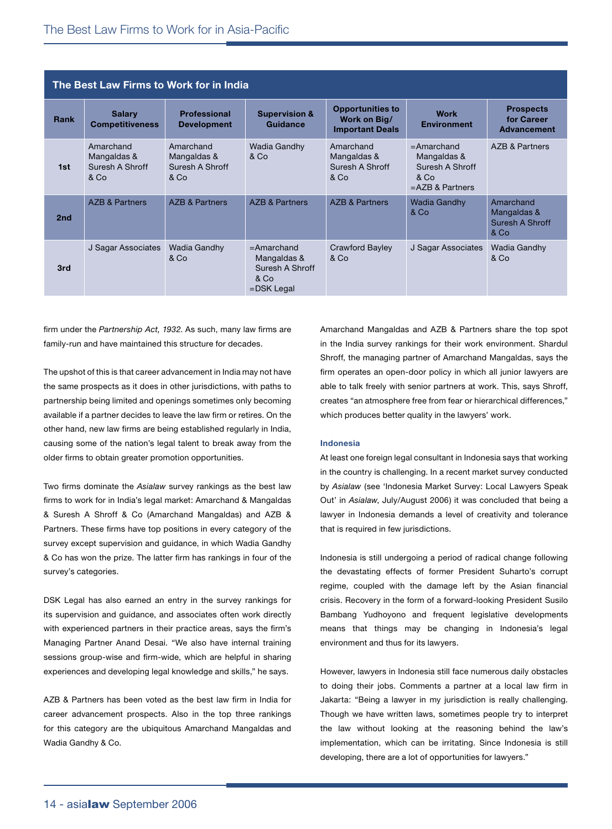| The Best Law Firms to Work for in India |                                                     |                                                     |                                                                       |                                                                   |                                                                               |                                                      |  |
|-----------------------------------------|-----------------------------------------------------|-----------------------------------------------------|-----------------------------------------------------------------------|-------------------------------------------------------------------|-------------------------------------------------------------------------------|------------------------------------------------------|--|
| Rank                                    | <b>Salary</b><br><b>Competitiveness</b>             | <b>Professional</b><br><b>Development</b>           | <b>Supervision &amp;</b><br>Guidance                                  | <b>Opportunities to</b><br>Work on Big/<br><b>Important Deals</b> | <b>Work</b><br><b>Environment</b>                                             | <b>Prospects</b><br>for Career<br><b>Advancement</b> |  |
| 1st                                     | Amarchand<br>Mangaldas &<br>Suresh A Shroff<br>& Co | Amarchand<br>Mangaldas &<br>Suresh A Shroff<br>& Co | <b>Wadia Gandhy</b><br>& Co                                           | Amarchand<br>Mangaldas &<br>Suresh A Shroff<br>& Co               | $=$ Amarchand<br>Mangaldas &<br>Suresh A Shroff<br>& Co<br>$=$ AZB & Partners | AZB & Partners                                       |  |
| 2nd                                     | <b>AZB &amp; Partners</b>                           | <b>AZB &amp; Partners</b>                           | <b>AZB &amp; Partners</b>                                             | AZB & Partners                                                    | <b>Wadia Gandhy</b><br>& Co                                                   | Amarchand<br>Mangaldas &<br>Suresh A Shroff<br>& Co  |  |
| 3rd                                     | J Sagar Associates                                  | <b>Wadia Gandhy</b><br>& Co                         | $=$ Amarchand<br>Mangaldas &<br>Suresh A Shroff<br>& Co<br>=DSK Legal | <b>Crawford Bayley</b><br>& Co                                    | J Sagar Associates                                                            | <b>Wadia Gandhy</b><br>& Co                          |  |

firm under the *Partnership Act, 1932*. As such, many law firms are family-run and have maintained this structure for decades.

The upshot of this is that career advancement in India may not have the same prospects as it does in other jurisdictions, with paths to partnership being limited and openings sometimes only becoming available if a partner decides to leave the law firm or retires. On the other hand, new law firms are being established regularly in India, causing some of the nation's legal talent to break away from the older firms to obtain greater promotion opportunities.

Two firms dominate the *Asialaw* survey rankings as the best law firms to work for in India's legal market: Amarchand & Mangaldas & Suresh A Shroff & Co (Amarchand Mangaldas) and AZB & Partners. These firms have top positions in every category of the survey except supervision and guidance, in which Wadia Gandhy & Co has won the prize. The latter firm has rankings in four of the survey's categories.

DSK Legal has also earned an entry in the survey rankings for its supervision and guidance, and associates often work directly with experienced partners in their practice areas, says the firm's Managing Partner Anand Desai. "We also have internal training sessions group-wise and firm-wide, which are helpful in sharing experiences and developing legal knowledge and skills," he says.

AZB & Partners has been voted as the best law firm in India for career advancement prospects. Also in the top three rankings for this category are the ubiquitous Amarchand Mangaldas and Wadia Gandhy & Co.

Amarchand Mangaldas and AZB & Partners share the top spot in the India survey rankings for their work environment. Shardul Shroff, the managing partner of Amarchand Mangaldas, says the firm operates an open-door policy in which all junior lawyers are able to talk freely with senior partners at work. This, says Shroff, creates "an atmosphere free from fear or hierarchical differences," which produces better quality in the lawyers' work.

#### **Indonesia**

At least one foreign legal consultant in Indonesia says that working in the country is challenging. In a recent market survey conducted by *Asialaw* (see 'Indonesia Market Survey: Local Lawyers Speak Out' in *Asialaw*, July/August 2006) it was concluded that being a lawyer in Indonesia demands a level of creativity and tolerance that is required in few jurisdictions.

Indonesia is still undergoing a period of radical change following the devastating effects of former President Suharto's corrupt regime, coupled with the damage left by the Asian financial crisis. Recovery in the form of a forward-looking President Susilo Bambang Yudhoyono and frequent legislative developments means that things may be changing in Indonesia's legal environment and thus for its lawyers.

However, lawyers in Indonesia still face numerous daily obstacles to doing their jobs. Comments a partner at a local law firm in Jakarta: "Being a lawyer in my jurisdiction is really challenging. Though we have written laws, sometimes people try to interpret the law without looking at the reasoning behind the law's implementation, which can be irritating. Since Indonesia is still developing, there are a lot of opportunities for lawyers."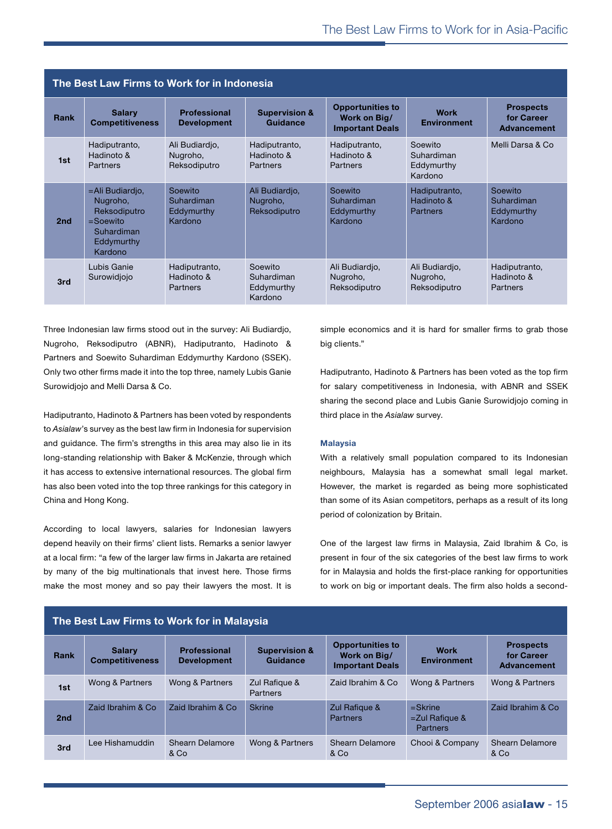| The Best Law Firms to Work for in Indonesia |                                                                                                   |                                                |                                                |                                                                   |                                                |                                                      |  |
|---------------------------------------------|---------------------------------------------------------------------------------------------------|------------------------------------------------|------------------------------------------------|-------------------------------------------------------------------|------------------------------------------------|------------------------------------------------------|--|
| Rank                                        | <b>Salary</b><br><b>Competitiveness</b>                                                           | <b>Professional</b><br><b>Development</b>      | <b>Supervision &amp;</b><br>Guidance           | <b>Opportunities to</b><br>Work on Big/<br><b>Important Deals</b> | <b>Work</b><br><b>Environment</b>              | <b>Prospects</b><br>for Career<br><b>Advancement</b> |  |
| 1st                                         | Hadiputranto,<br>Hadinoto &<br>Partners                                                           | Ali Budiardjo,<br>Nugroho,<br>Reksodiputro     | Hadiputranto,<br>Hadinoto &<br>Partners        | Hadiputranto,<br>Hadinoto &<br>Partners                           | Soewito<br>Suhardiman<br>Eddymurthy<br>Kardono | Melli Darsa & Co                                     |  |
| 2nd                                         | =Ali Budiardio,<br>Nugroho,<br>Reksodiputro<br>$=$ Soewito<br>Suhardiman<br>Eddymurthy<br>Kardono | Soewito<br>Suhardiman<br>Eddymurthy<br>Kardono | Ali Budiardio,<br>Nugroho,<br>Reksodiputro     | Soewito<br>Suhardiman<br>Eddymurthy<br>Kardono                    | Hadiputranto,<br>Hadinoto &<br><b>Partners</b> | Soewito<br>Suhardiman<br>Eddymurthy<br>Kardono       |  |
| 3rd                                         | Lubis Ganie<br>Surowidiojo                                                                        | Hadiputranto,<br>Hadinoto &<br>Partners        | Soewito<br>Suhardiman<br>Eddymurthy<br>Kardono | Ali Budiardio,<br>Nugroho,<br>Reksodiputro                        | Ali Budiardio,<br>Nugroho,<br>Reksodiputro     | Hadiputranto,<br>Hadinoto &<br>Partners              |  |

Three Indonesian law firms stood out in the survey: Ali Budiardjo, Nugroho, Reksodiputro (ABNR), Hadiputranto, Hadinoto & Partners and Soewito Suhardiman Eddymurthy Kardono (SSEK). Only two other firms made it into the top three, namely Lubis Ganie Surowidjojo and Melli Darsa & Co.

Hadiputranto, Hadinoto & Partners has been voted by respondents to *Asialaw*'s survey as the best law firm in Indonesia for supervision and guidance. The firm's strengths in this area may also lie in its long-standing relationship with Baker & McKenzie, through which it has access to extensive international resources. The global firm has also been voted into the top three rankings for this category in China and Hong Kong.

According to local lawyers, salaries for Indonesian lawyers depend heavily on their firms' client lists. Remarks a senior lawyer at a local firm: "a few of the larger law firms in Jakarta are retained by many of the big multinationals that invest here. Those firms make the most money and so pay their lawyers the most. It is

simple economics and it is hard for smaller firms to grab those big clients."

Hadiputranto, Hadinoto & Partners has been voted as the top firm for salary competitiveness in Indonesia, with ABNR and SSEK sharing the second place and Lubis Ganie Surowidjojo coming in third place in the *Asialaw* survey.

#### **Malaysia**

With a relatively small population compared to its Indonesian neighbours, Malaysia has a somewhat small legal market. However, the market is regarded as being more sophisticated than some of its Asian competitors, perhaps as a result of its long period of colonization by Britain.

One of the largest law firms in Malaysia, Zaid Ibrahim & Co, is present in four of the six categories of the best law firms to work for in Malaysia and holds the first-place ranking for opportunities to work on big or important deals. The firm also holds a second-

| The Best Law Firms to Work for in Malaysia |                                         |                                           |                                      |                                                                   |                                             |                                                      |  |  |
|--------------------------------------------|-----------------------------------------|-------------------------------------------|--------------------------------------|-------------------------------------------------------------------|---------------------------------------------|------------------------------------------------------|--|--|
| Rank                                       | <b>Salary</b><br><b>Competitiveness</b> | <b>Professional</b><br><b>Development</b> | <b>Supervision &amp;</b><br>Guidance | <b>Opportunities to</b><br>Work on Big/<br><b>Important Deals</b> | <b>Work</b><br><b>Environment</b>           | <b>Prospects</b><br>for Career<br><b>Advancement</b> |  |  |
| 1st                                        | Wong & Partners                         | Wong & Partners                           | Zul Rafigue &<br><b>Partners</b>     | Zaid Ibrahim & Co                                                 | Wong & Partners                             | Wong & Partners                                      |  |  |
| 2nd                                        | Zaid Ibrahim & Co.                      | Zaid Ibrahim & Co                         | <b>Skrine</b>                        | Zul Rafique &<br><b>Partners</b>                                  | $=$ Skrine<br>$=$ Zul Rafique &<br>Partners | Zaid Ibrahim & Co.                                   |  |  |
| 3rd                                        | Lee Hishamuddin                         | Shearn Delamore<br>& Co                   | Wong & Partners                      | <b>Shearn Delamore</b><br>& Co                                    | Chooi & Company                             | <b>Shearn Delamore</b><br>& Co                       |  |  |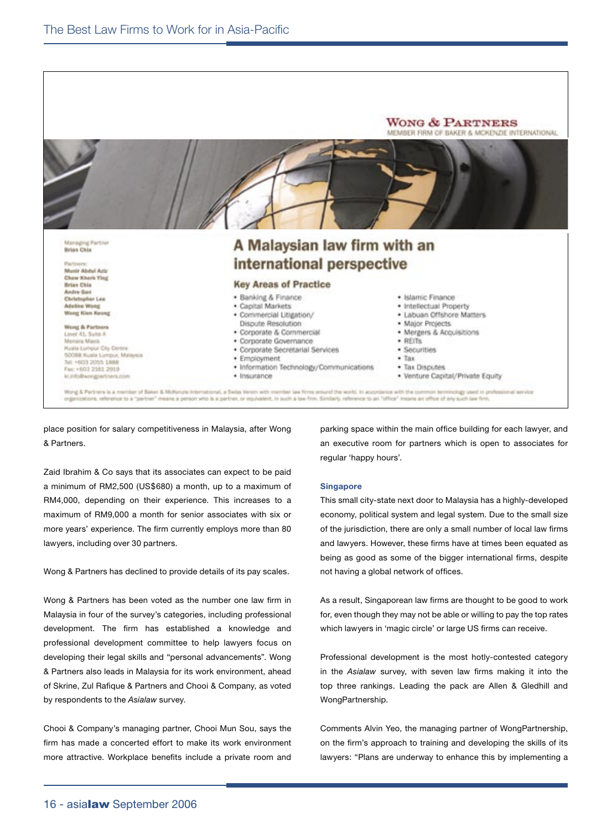

place position for salary competitiveness in Malaysia, after Wong & Partners.

Zaid Ibrahim & Co says that its associates can expect to be paid a minimum of RM2,500 (US\$680) a month, up to a maximum of RM4,000, depending on their experience. This increases to a maximum of RM9,000 a month for senior associates with six or more years' experience. The firm currently employs more than 80 lawyers, including over 30 partners.

Wong & Partners has declined to provide details of its pay scales.

Wong & Partners has been voted as the number one law firm in Malaysia in four of the survey's categories, including professional development. The firm has established a knowledge and professional development committee to help lawyers focus on developing their legal skills and "personal advancements". Wong & Partners also leads in Malaysia for its work environment, ahead of Skrine, Zul Rafique & Partners and Chooi & Company, as voted by respondents to the *Asialaw* survey.

Chooi & Company's managing partner, Chooi Mun Sou, says the firm has made a concerted effort to make its work environment more attractive. Workplace benefits include a private room and parking space within the main office building for each lawyer, and an executive room for partners which is open to associates for regular 'happy hours'.

#### **Singapore**

This small city-state next door to Malaysia has a highly-developed economy, political system and legal system. Due to the small size of the jurisdiction, there are only a small number of local law firms and lawyers. However, these firms have at times been equated as being as good as some of the bigger international firms, despite not having a global network of offices.

As a result, Singaporean law firms are thought to be good to work for, even though they may not be able or willing to pay the top rates which lawyers in 'magic circle' or large US firms can receive.

Professional development is the most hotly-contested category in the *Asialaw* survey, with seven law firms making it into the top three rankings. Leading the pack are Allen & Gledhill and WongPartnership.

Comments Alvin Yeo, the managing partner of WongPartnership, on the firm's approach to training and developing the skills of its lawyers: "Plans are underway to enhance this by implementing a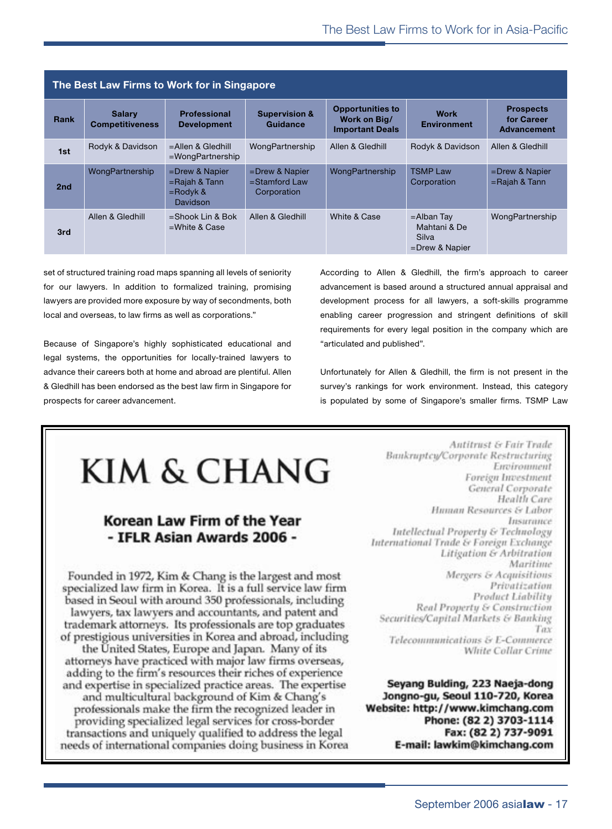| The Best Law Firms to Work for in Singapore |                                         |                                                                  |                                                      |                                                                   |                                                             |                                               |  |
|---------------------------------------------|-----------------------------------------|------------------------------------------------------------------|------------------------------------------------------|-------------------------------------------------------------------|-------------------------------------------------------------|-----------------------------------------------|--|
| Rank                                        | <b>Salary</b><br><b>Competitiveness</b> | <b>Professional</b><br><b>Development</b>                        | <b>Supervision &amp;</b><br>Guidance                 | <b>Opportunities to</b><br>Work on Big/<br><b>Important Deals</b> | <b>Work</b><br><b>Environment</b>                           | <b>Prospects</b><br>for Career<br>Advancement |  |
| 1st                                         | Rodyk & Davidson                        | $=$ Allen & Gledhill<br>$=$ WongPartnership                      | WongPartnership                                      | Allen & Gledhill                                                  | Rodyk & Davidson                                            | Allen & Gledhill                              |  |
| 2 <sub>nd</sub>                             | WongPartnership                         | $=$ Drew & Napier<br>$=$ Rajah & Tann<br>$=$ Rodyk &<br>Davidson | $=$ Drew & Napier<br>$=$ Stamford Law<br>Corporation | WongPartnership                                                   | <b>TSMP Law</b><br>Corporation                              | $=$ Drew & Napier<br>$=$ Rajah & Tann         |  |
| 3rd                                         | Allen & Gledhill                        | $=$ Shook Lin & Bok<br>$=$ White & Case                          | Allen & Gledhill                                     | White & Case                                                      | $=$ Alban Tay<br>Mahtani & De<br>Silva<br>$=$ Drew & Napier | WongPartnership                               |  |

set of structured training road maps spanning all levels of seniority for our lawyers. In addition to formalized training, promising lawyers are provided more exposure by way of secondments, both local and overseas, to law firms as well as corporations."

Because of Singapore's highly sophisticated educational and legal systems, the opportunities for locally-trained lawyers to advance their careers both at home and abroad are plentiful. Allen & Gledhill has been endorsed as the best law firm in Singapore for prospects for career advancement.

According to Allen & Gledhill, the firm's approach to career advancement is based around a structured annual appraisal and development process for all lawyers, a soft-skills programme enabling career progression and stringent definitions of skill requirements for every legal position in the company which are "articulated and published".

Unfortunately for Allen & Gledhill, the firm is not present in the survey's rankings for work environment. Instead, this category is populated by some of Singapore's smaller firms. TSMP Law

## KIM & CHANG

#### Korean Law Firm of the Year - IFLR Asian Awards 2006 -

Founded in 1972, Kim & Chang is the largest and most specialized law firm in Korea. It is a full service law firm based in Seoul with around 350 professionals, including lawyers, tax lawyers and accountants, and patent and trademark attorneys. Its professionals are top graduates of prestigious universities in Korea and abroad, including the United States, Europe and Japan. Many of its attorneys have practiced with major law firms overseas, adding to the firm's resources their riches of experience and expertise in specialized practice areas. The expertise and multicultural background of Kim & Chang's professionals make the firm the recognized leader in providing specialized legal services for cross-border transactions and uniquely qualified to address the legal needs of international companies doing business in Korea

**Antitrust & Fair Trade Bankruptcy/Corporate Restructuring** Environment Foreign Investment General Corporate Health Care Human Resources & Labor Insurance Intellectual Property & Technology International Trade & Foreign Exchange **Litigation & Arbitration** Maritime Mergers & Acquisitions Privatization **Product Liability Real Property & Construction** Securities/Capital Markets & Banking Tay Telecommunications & E-Commerce White Collar Crime

Seyang Bulding, 223 Naeja-dong Jongno-gu, Seoul 110-720, Korea Website: http://www.kimchang.com Phone: (82 2) 3703-1114 Fax: (82 2) 737-9091 E-mail: lawkim@kimchang.com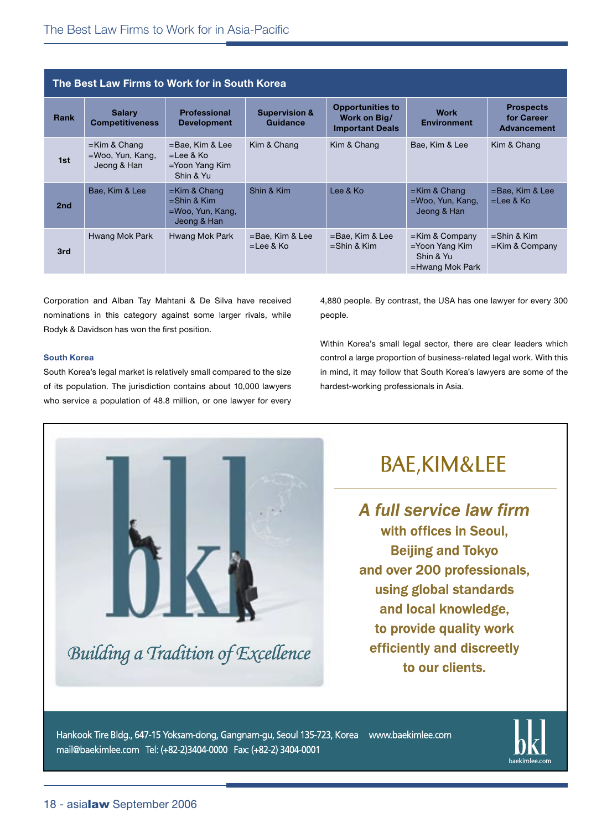| The Best Law Firms to Work for in South Korea |                                                    |                                                                         |                                      |                                                                   |                                                                        |                                                      |  |
|-----------------------------------------------|----------------------------------------------------|-------------------------------------------------------------------------|--------------------------------------|-------------------------------------------------------------------|------------------------------------------------------------------------|------------------------------------------------------|--|
| Rank                                          | <b>Salary</b><br><b>Competitiveness</b>            | <b>Professional</b><br><b>Development</b>                               | <b>Supervision &amp;</b><br>Guidance | <b>Opportunities to</b><br>Work on Big/<br><b>Important Deals</b> | <b>Work</b><br><b>Environment</b>                                      | <b>Prospects</b><br>for Career<br><b>Advancement</b> |  |
| 1st                                           | $=$ Kim & Chang<br>=Woo, Yun, Kang,<br>Jeong & Han | $=$ Bae, Kim & Lee<br>$=$ Lee & Ko<br>$=$ Yoon Yang Kim<br>Shin & Yu    | Kim & Chang                          | Kim & Chang                                                       | Bae. Kim & Lee                                                         | Kim & Chang                                          |  |
| 2 <sub>nd</sub>                               | Bae, Kim & Lee                                     | $=$ Kim & Chang<br>$=$ Shin & Kim<br>$=$ Woo, Yun, Kang,<br>Jeong & Han | Shin & Kim                           | Lee & Ko                                                          | $=$ Kim & Chang<br>=Woo, Yun, Kang,<br>Jeong & Han                     | $=$ Bae, Kim & Lee<br>$=$ Lee & Ko                   |  |
| 3rd                                           | Hwang Mok Park                                     | Hwang Mok Park                                                          | $=$ Bae, Kim & Lee<br>$=$ Lee & Ko   | =Bae, Kim & Lee<br>$=$ Shin & Kim                                 | $=$ Kim & Company<br>=Yoon Yang Kim<br>Shin & Yu<br>$=$ Hwang Mok Park | $=$ Shin & Kim<br>$=$ Kim & Company                  |  |

Corporation and Alban Tay Mahtani & De Silva have received nominations in this category against some larger rivals, while Rodyk & Davidson has won the first position.

#### **South Korea**

South Korea's legal market is relatively small compared to the size of its population. The jurisdiction contains about 10,000 lawyers who service a population of 48.8 million, or one lawyer for every

4,880 people. By contrast, the USA has one lawyer for every 300 people.

Within Korea's small legal sector, there are clear leaders which control a large proportion of business-related legal work. With this in mind, it may follow that South Korea's lawyers are some of the hardest-working professionals in Asia.



### **BAE,KIM&LEE**

A full service law firm with offices in Seoul. **Beijing and Tokyo** and over 200 professionals, using global standards and local knowledge, to provide quality work efficiently and discreetly to our clients.

Hankook Tire Bldg., 647-15 Yoksam-dong, Gangnam-gu, Seoul 135-723, Korea www.baekimlee.com mail@baekimlee.com Tel: (+82-2)3404-0000 Fax: (+82-2) 3404-0001